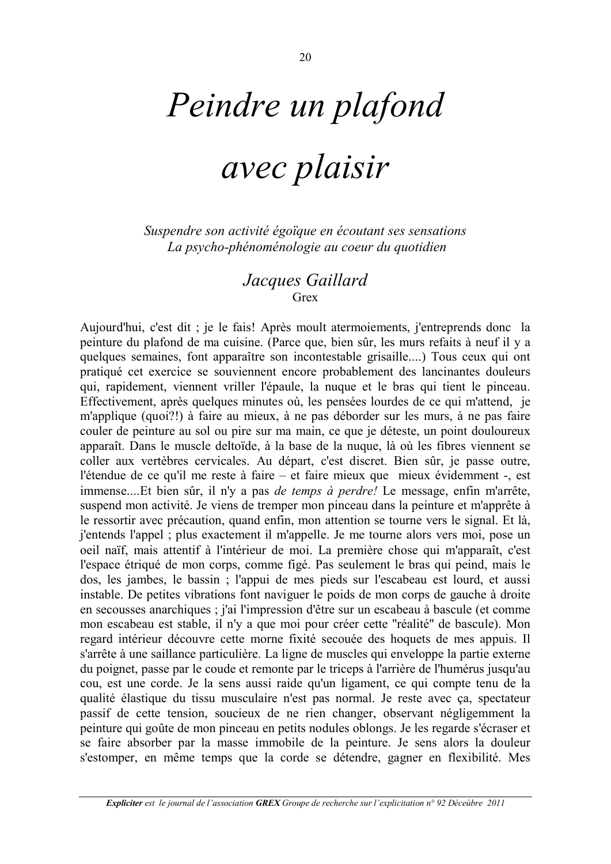## Peindre un plafond

## avec plaisir

Suspendre son activité égoïque en écoutant ses sensations La psycho-phénoménologie au coeur du quotidien

## Jacques Gaillard Grex

Aujourd'hui, c'est dit ; je le fais! Après moult atermoiements, j'entreprends donc la peinture du plafond de ma cuisine. (Parce que, bien sûr, les murs refaits à neuf il y a quelques semaines, font apparaître son incontestable grisaille....) Tous ceux qui ont pratiqué cet exercice se souviennent encore probablement des lancinantes douleurs qui, rapidement, viennent vriller l'épaule, la nuque et le bras qui tient le pinceau. Effectivement, après quelques minutes où, les pensées lourdes de ce qui m'attend, je m'applique (quoi?!) à faire au mieux, à ne pas déborder sur les murs, à ne pas faire couler de peinture au sol ou pire sur ma main, ce que je déteste, un point douloureux apparaît. Dans le muscle deltoïde, à la base de la nuque, là où les fibres viennent se coller aux vertèbres cervicales. Au départ, c'est discret. Bien sûr, je passe outre, l'étendue de ce qu'il me reste à faire – et faire mieux que mieux évidemment -, est immense....Et bien sûr, il n'y a pas *de temps à perdre!* Le message, enfin m'arrête, suspend mon activité. Je viens de tremper mon pinceau dans la peinture et m'apprête à le ressortir avec précaution, quand enfin, mon attention se tourne vers le signal. Et là, j'entends l'appel ; plus exactement il m'appelle. Je me tourne alors vers moi, pose un oeil naïf, mais attentif à l'intérieur de moi. La première chose qui m'apparaît, c'est l'espace étriqué de mon corps, comme figé. Pas seulement le bras qui peind, mais le dos, les jambes, le bassin; l'appui de mes pieds sur l'escabeau est lourd, et aussi instable. De petites vibrations font naviguer le poids de mon corps de gauche à droite en secousses anarchiques ; j'ai l'impression d'être sur un escabeau à bascule (et comme mon escabeau est stable, il n'y a que moi pour créer cette "réalité" de bascule). Mon regard intérieur découvre cette morne fixité secouée des hoquets de mes appuis. Il s'arrête à une saillance particulière. La ligne de muscles qui enveloppe la partie externe du poignet, passe par le coude et remonte par le triceps à l'arrière de l'humérus jusqu'au cou, est une corde. Je la sens aussi raide qu'un ligament, ce qui compte tenu de la qualité élastique du tissu musculaire n'est pas normal. Je reste avec ca, spectateur passif de cette tension, soucieux de ne rien changer, observant négligemment la peinture qui goûte de mon pinceau en petits nodules oblongs. Je les regarde s'écraser et se faire absorber par la masse immobile de la peinture. Je sens alors la douleur s'estomper, en même temps que la corde se détendre, gagner en flexibilité. Mes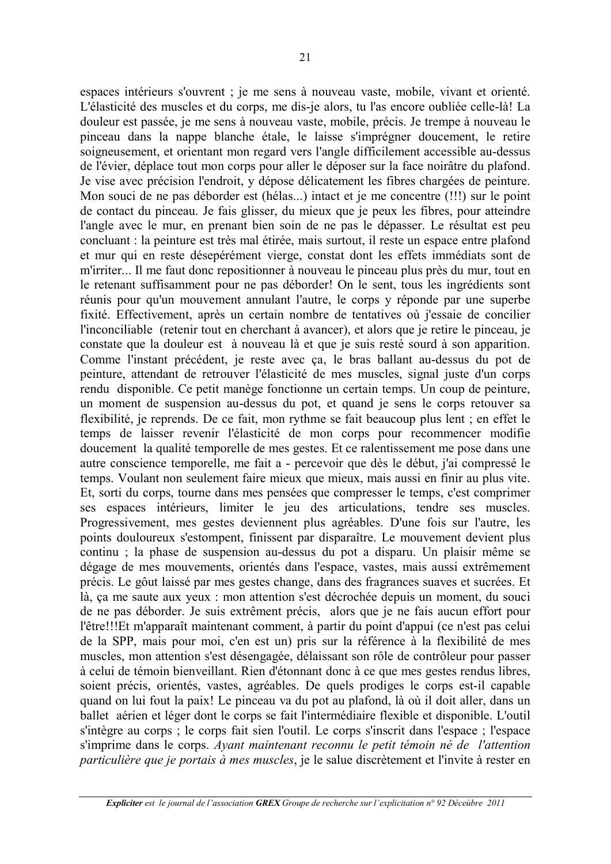espaces intérieurs s'ouvrent ; je me sens à nouveau vaste, mobile, vivant et orienté. L'élasticité des muscles et du corps, me dis-je alors, tu l'as encore oubliée celle-là! La douleur est passée, je me sens à nouveau vaste, mobile, précis. Je trempe à nouveau le pinceau dans la nappe blanche étale, le laisse s'imprégner doucement, le retire soigneusement, et orientant mon regard vers l'angle difficilement accessible au-dessus de l'évier, déplace tout mon corps pour aller le déposer sur la face noirâtre du plafond. Je vise avec précision l'endroit, y dépose délicatement les fibres chargées de peinture. Mon souci de ne pas déborder est (hélas...) intact et je me concentre (!!!) sur le point de contact du pinceau. Je fais glisser, du mieux que je peux les fibres, pour atteindre l'angle avec le mur, en prenant bien soin de ne pas le dépasser. Le résultat est peu concluant : la peinture est très mal étirée, mais surtout, il reste un espace entre plafond et mur qui en reste désepérément vierge, constat dont les effets immédiats sont de m'irriter... Il me faut donc repositionner à nouveau le pinceau plus près du mur, tout en le retenant suffisamment pour ne pas déborder! On le sent, tous les ingrédients sont réunis pour qu'un mouvement annulant l'autre, le corps y réponde par une superbe fixité. Effectivement, après un certain nombre de tentatives où j'essaie de concilier l'inconciliable (retenir tout en cherchant à avancer), et alors que je retire le pinceau, je constate que la douleur est à nouveau là et que je suis resté sourd à son apparition. Comme l'instant précédent, je reste avec ça, le bras ballant au-dessus du pot de peinture, attendant de retrouver l'élasticité de mes muscles, signal juste d'un corps rendu disponible. Ce petit manège fonctionne un certain temps. Un coup de peinture, un moment de suspension au-dessus du pot, et quand je sens le corps retouver sa flexibilité, je reprends. De ce fait, mon rythme se fait beaucoup plus lent; en effet le temps de laisser revenir l'élasticité de mon corps pour recommencer modifie doucement la qualité temporelle de mes gestes. Et ce ralentissement me pose dans une autre conscience temporelle, me fait a - percevoir que dès le début, j'ai compressé le temps. Voulant non seulement faire mieux que mieux, mais aussi en finir au plus vite. Et, sorti du corps, tourne dans mes pensées que compresser le temps, c'est comprimer ses espaces intérieurs, limiter le jeu des articulations, tendre ses muscles. Progressivement, mes gestes deviennent plus agréables. D'une fois sur l'autre, les points douloureux s'estompent, finissent par disparaître. Le mouvement devient plus continu; la phase de suspension au-dessus du pot a disparu. Un plaisir même se dégage de mes mouvements, orientés dans l'espace, vastes, mais aussi extrêmement précis. Le gôut laissé par mes gestes change, dans des fragrances suaves et sucrées. Et là, ça me saute aux yeux : mon attention s'est décrochée depuis un moment, du souci de ne pas déborder. Je suis extrêment précis, alors que je ne fais aucun effort pour l'être!!!Et m'apparaît maintenant comment, à partir du point d'appui (ce n'est pas celui de la SPP, mais pour moi, c'en est un) pris sur la référence à la flexibilité de mes muscles, mon attention s'est désengagée, délaissant son rôle de contrôleur pour passer à celui de témoin bienveillant. Rien d'étonnant donc à ce que mes gestes rendus libres, soient précis, orientés, vastes, agréables. De quels prodiges le corps est-il capable quand on lui fout la paix! Le pinceau va du pot au plafond, là où il doit aller, dans un ballet aérien et léger dont le corps se fait l'intermédiaire flexible et disponible. L'outil s'intègre au corps ; le corps fait sien l'outil. Le corps s'inscrit dans l'espace ; l'espace s'imprime dans le corps. Ayant maintenant reconnu le petit témoin né de l'attention particulière que je portais à mes muscles, je le salue discrètement et l'invite à rester en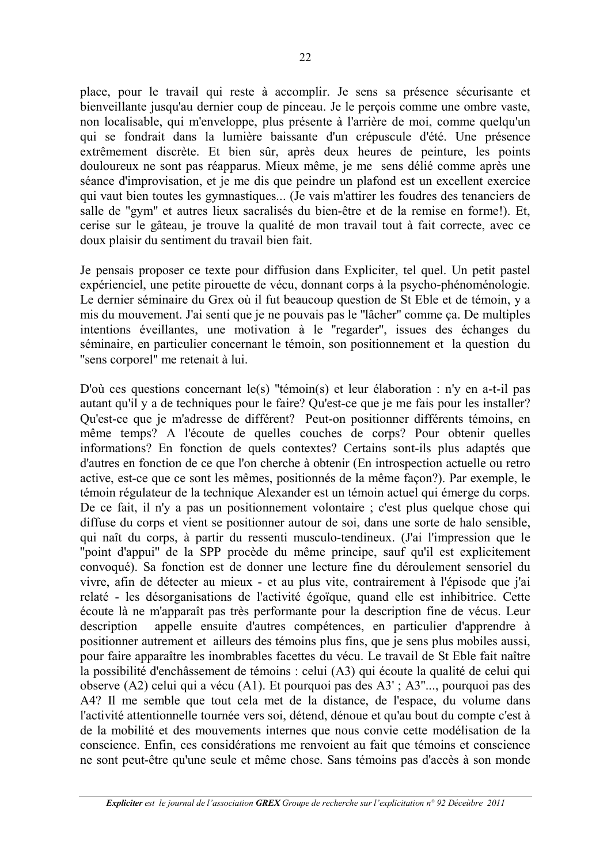place, pour le travail qui reste à accomplir. Je sens sa présence sécurisante et bienveillante jusqu'au dernier coup de pinceau. Je le percois comme une ombre vaste, non localisable, qui m'enveloppe, plus présente à l'arrière de moi, comme quelqu'un qui se fondrait dans la lumière baissante d'un crépuscule d'été. Une présence extrêmement discrète. Et bien sûr, après deux heures de peinture, les points douloureux ne sont pas réapparus. Mieux même, je me sens délié comme après une séance d'improvisation, et je me dis que peindre un plafond est un excellent exercice qui vaut bien toutes les gymnastiques... (Je vais m'attirer les foudres des tenanciers de salle de "gym" et autres lieux sacralisés du bien-être et de la remise en forme!). Et. cerise sur le gâteau, je trouve la qualité de mon travail tout à fait correcte, avec ce doux plaisir du sentiment du travail bien fait.

Je pensais proposer ce texte pour diffusion dans Expliciter, tel quel. Un petit pastel expérienciel, une petite pirouette de vécu, donnant corps à la psycho-phénoménologie. Le dernier séminaire du Grex où il fut beaucoup question de St Eble et de témoin, y a mis du mouvement. J'ai senti que je ne pouvais pas le "lâcher" comme ça. De multiples intentions éveillantes, une motivation à le "regarder", issues des échanges du séminaire, en particulier concernant le témoin, son positionnement et la question du "sens corporel" me retenait à lui.

D'où ces questions concernant le(s) "témoin(s) et leur élaboration : n'v en a-t-il pas autant qu'il y a de techniques pour le faire? Qu'est-ce que je me fais pour les installer? Qu'est-ce que je m'adresse de différent? Peut-on positionner différents témoins, en même temps? A l'écoute de quelles couches de corps? Pour obtenir quelles informations? En fonction de quels contextes? Certains sont-ils plus adaptés que d'autres en fonction de ce que l'on cherche à obtenir (En introspection actuelle ou retro active, est-ce que ce sont les mêmes, positionnés de la même façon?). Par exemple, le témoin régulateur de la technique Alexander est un témoin actuel qui émerge du corps. De ce fait, il n'y a pas un positionnement volontaire ; c'est plus quelque chose qui diffuse du corps et vient se positionner autour de soi, dans une sorte de halo sensible, qui naît du corps, à partir du ressenti musculo-tendineux. (J'ai l'impression que le "point d'appui" de la SPP procède du même principe, sauf qu'il est explicitement convoqué). Sa fonction est de donner une lecture fine du déroulement sensoriel du vivre, afin de détecter au mieux - et au plus vite, contrairement à l'épisode que j'ai relaté - les désorganisations de l'activité égoïque, quand elle est inhibitrice. Cette écoute là ne m'apparaît pas très performante pour la description fine de vécus. Leur description appelle ensuite d'autres compétences, en particulier d'apprendre à positionner autrement et ailleurs des témoins plus fins, que je sens plus mobiles aussi, pour faire apparaître les inombrables facettes du vécu. Le travail de St Eble fait naître la possibilité d'enchâssement de témoins : celui (A3) qui écoute la qualité de celui qui observe (A2) celui qui a vécu (A1). Et pourquoi pas des A3'; A3"..., pourquoi pas des A4? Il me semble que tout cela met de la distance, de l'espace, du volume dans l'activité attentionnelle tournée vers soi, détend, dénoue et qu'au bout du compte c'est à de la mobilité et des mouvements internes que nous convie cette modélisation de la conscience. Enfin, ces considérations me renvoient au fait que témoins et conscience ne sont peut-être qu'une seule et même chose. Sans témoins pas d'accès à son monde